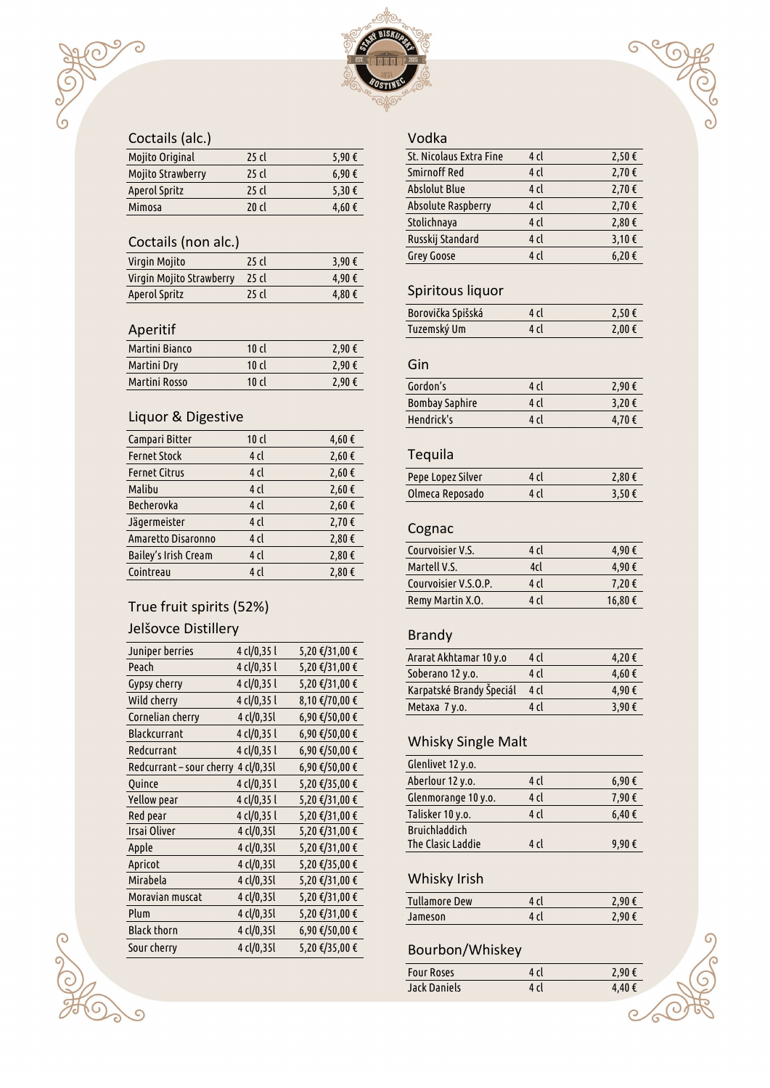#### Coctails (alc. )

ි

| <b>Mojito Original</b>   | $25$ cl | 5,90 € |
|--------------------------|---------|--------|
| <b>Mojito Strawberry</b> | $25$ cl | 6,90€  |
| Aperol Spritz            | $25$ cl | 5,30 € |
| Mimosa                   | 20c1    | 4,60€  |

#### Coctails (non alc. )

| Virgin Mojito            | 25 cl | 3,90 € |
|--------------------------|-------|--------|
| Virgin Mojito Strawberry | 25 cl | 4,90€  |
| Aperol Spritz            | 25 cl | 4,80€  |

#### Aperitif

| Martini Bianco | 10 $cl$ | 2,90€ |
|----------------|---------|-------|
| Martini Dry    | $10$ cl | 2.90€ |
| Martini Rosso  | 10 $cl$ | 2,90€ |

### Liquor & Digestive

| Campari Bitter       | $10$ cl         | 4,60€  |
|----------------------|-----------------|--------|
| <b>Fernet Stock</b>  | 4 cl            | 2,60 € |
| <b>Fernet Citrus</b> | 4 cl            | 2,60€  |
| Malibu               | 4 <sub>cl</sub> | 2,60€  |
| Becherovka           | 4 cl            | 2,60 € |
| Jägermeister         | 4 <sub>cl</sub> | 2,70€  |
| Amaretto Disaronno   | 4 <sub>cl</sub> | 2,80€  |
| Bailey's Irish Cream | 4 <sub>cl</sub> | 2,80€  |
| Cointreau            | 4 <sub>cl</sub> | 2,80 € |

# True fruit spirits (52%)

### Jelšovce Distillery

| Juniper berries          | 4 cl/0,35 l | 5,20 €/31,00 € |
|--------------------------|-------------|----------------|
| Peach                    | 4 cl/0,35 l | 5,20 €/31,00 € |
| Gypsy cherry             | 4 cl/0,35 l | 5,20 €/31,00 € |
| Wild cherry              | 4 cl/0,35 l | 8,10 €/70,00 € |
| Cornelian cherry         | 4 cl/0,35l  | 6,90 €/50,00 € |
| <b>Blackcurrant</b>      | 4 cl/0,35 l | 6,90 €/50,00 € |
| Redcurrant               | 4 cl/0,35 l | 6,90 €/50,00 € |
| Redcurrant – sour cherry | 4 cl/0,35l  | 6,90 €/50,00 € |
| Quince                   | 4 cl/0,35 l | 5,20 €/35,00 € |
| Yellow pear              | 4 cl/0,35 l | 5,20 €/31,00 € |
| Red pear                 | 4 cl/0,35 l | 5,20 €/31,00 € |
| Irsai Oliver             | 4 cl/0,35l  | 5,20 €/31,00 € |
| Apple                    | 4 cl/0,35l  | 5,20 €/31,00 € |
| Apricot                  | 4 cl/0,35l  | 5,20 €/35,00 € |
| Mirabela                 | 4 cl/0,35l  | 5,20 €/31,00 € |
| Moravian muscat          | 4 cl/0,35l  | 5,20 €/31,00 € |
| Plum                     | 4 cl/0,35l  | 5,20 €/31,00 € |
| <b>Black thorn</b>       | 4 cl/0,35l  | 6,90 €/50,00 € |
| Sour cherry              | 4 cl/0,35l  | 5,20 €/35,00 € |
|                          |             |                |

#### Vodka

| St. Nicolaus Extra Fine   | 4 cl            | 2,50€      |
|---------------------------|-----------------|------------|
| Smirnoff Red              | 4 cl            | 2,70€      |
| <b>Abslolut Blue</b>      | 4 cl            | 2,70€      |
| <b>Absolute Raspberry</b> | 4 <sub>cl</sub> | 2,70€      |
| Stolichnaya               | 4 <sub>cl</sub> | 2,80 €     |
| Russkij Standard          | 4 <sub>cl</sub> | 3,10 $\xi$ |
| Grey Goose                | 4 cl            | 6,20€      |
|                           |                 |            |

 $\sqrt{2}$ 

**COST** 

### Spiritous liquor

| Borovička Spišská | 4 cl | 2,50€  |
|-------------------|------|--------|
| Tuzemský Um       | 4 cl | 2.00 € |

# Gin

| Gordon's              | 4 cl | 2,90€  |
|-----------------------|------|--------|
| <b>Bombay Saphire</b> | 4 d  | 3,20 € |
| Hendrick's            | 4 cl | 4,70€  |

# Tequila

| Pepe Lopez Silver | 4 cl | 2,80 € |
|-------------------|------|--------|
| Olmeca Reposado   | 4 cl | 3,50€  |

# Cognac

| Courvoisier V.S.     | $4$ c          | 4,90€   |
|----------------------|----------------|---------|
| Martell V.S.         | 4cl            | 4,90€   |
| Courvoisier V.S.O.P. | 4 <sub>1</sub> | 7,20 €  |
| Remy Martin X.O.     | 4 d            | 16,80 € |
|                      |                |         |

# Brandy

| Ararat Akhtamar 10 y.o   | 4 cl  | 4,20€ |
|--------------------------|-------|-------|
| Soberano 12 y.o.         | 4 cl  | 4,60€ |
| Karpatské Brandy Špeciál | 4 cl  | 4.90€ |
| Metaxa 7 y.o.            | $4$ c | 3,90€ |
|                          |       |       |

## Whisky Single Malt

| Glenlivet 12 y.o.    |       |               |
|----------------------|-------|---------------|
| Aberlour 12 y.o.     | 4 cl  | 6,90€         |
| Glenmorange 10 y.o.  | 4 cl  | 7,90€         |
| Talisker 10 y.o.     | 4 cl  | $6,40 \notin$ |
| <b>Bruichladdich</b> |       |               |
| The Clasic Laddie    | $4$ c | 9,90€         |

# Whisky Irish

| <b>Tullamore Dew</b> | 4 r I | 7 9Ո €   |
|----------------------|-------|----------|
| Jameson              | 4 cl  | 2.90 $f$ |

# Bourbon/Whiskey

| <b>Four Roses</b>   | 4 cl | 2,90€ |
|---------------------|------|-------|
| <b>Jack Daniels</b> | 4 cl | 4.40€ |

 $\overline{C}$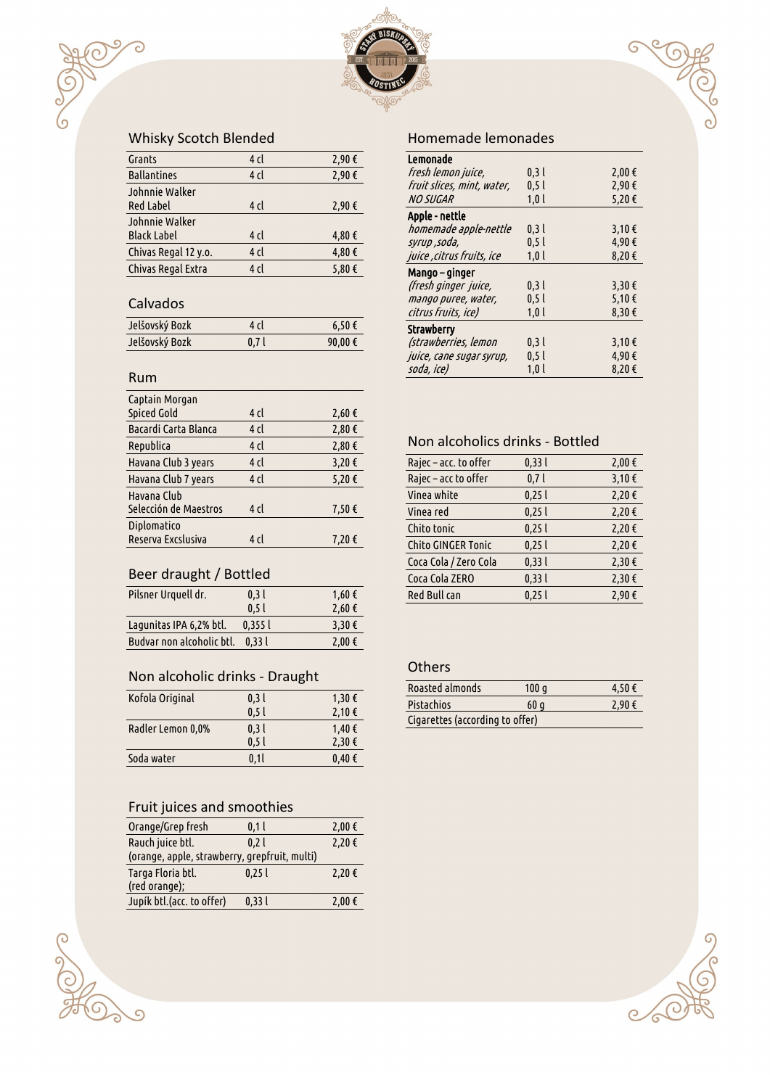

# Whisky Scotch Blended

| Grants               | 4 cl            | 2,90€ |
|----------------------|-----------------|-------|
| <b>Ballantines</b>   | 4 <sub>cl</sub> | 2,90€ |
| Johnnie Walker       |                 |       |
| <b>Red Label</b>     | 4 cl            | 2,90€ |
| Johnnie Walker       |                 |       |
| <b>Black Label</b>   | 4 cl            | 4,80€ |
| Chivas Regal 12 y.o. | 4 <sub>cl</sub> | 4,80€ |
| Chivas Regal Extra   | 4 cl            | 5,80€ |

#### Calvados

ි

| Jelšovský Bozk | 4 cl             | $6,50$ €         |
|----------------|------------------|------------------|
| Jelšovský Bozk | 0.7 <sub>l</sub> | 90,00 $\epsilon$ |

#### Rum

| Captain Morgan        |      |        |
|-----------------------|------|--------|
| <b>Spiced Gold</b>    | 4 cl | 2,60 € |
| Bacardi Carta Blanca  | 4 cl | 2,80 € |
| Republica             | 4 cl | 2,80€  |
| Havana Club 3 years   | 4 cl | 3,20€  |
| Havana Club 7 years   | 4 cl | 5,20€  |
| Havana Club           |      |        |
| Selección de Maestros | 4 cl | 7,50€  |
| Diplomatico           |      |        |
| Reserva Excslusiva    | 4 cl | 7,20€  |
|                       |      |        |

# Beer draught / Bottled

| Pilsner Urquell dr.       | 0.31<br>0.5l | 1,60 €<br>2,60€ |
|---------------------------|--------------|-----------------|
| Lagunitas IPA 6,2% btl.   | 0.3551       | 3,30 €          |
| Budvar non alcoholic btl. | 0.331        | 2,00 €          |

# Non alcoholic drinks - Draught

| Kofola Original   | 0.31             | $1,30$ €            |
|-------------------|------------------|---------------------|
|                   | 0.5l             | 2,10€               |
| Radler Lemon 0,0% | 0.31             | $1,40 \notin$       |
|                   | 0.5 <sub>l</sub> | 2,30€               |
| Soda water        | 0.1l             | $0.40 \text{ } \in$ |

### Fruit juices and smoothies

coop

 $\sqrt{9}$ 

| 0,11                                          | 2,00€  |
|-----------------------------------------------|--------|
| 0.21                                          | 2,20€  |
| (orange, apple, strawberry, grepfruit, multi) |        |
| 0.251                                         | 2,20 € |
|                                               |        |
| 0,331                                         | 2,00 € |
|                                               |        |

#### Homemade lemonades

| Lemonade                   |      |        |
|----------------------------|------|--------|
| fresh lemon juice,         | 0.31 | 2,00 € |
| fruit slices, mint, water, | 0.51 | 2,90€  |
| <b>NO SUGAR</b>            | 1,0  | 5,20€  |
| Apple - nettle             |      |        |
| homemade apple-nettle      | 0,3  | 3,10€  |
| syrup ,soda,               | 0.51 | 4,90€  |
| juice , citrus fruits, ice | 1,0  | 8,20€  |
| Mango – ginger             |      |        |
| (fresh ginger juice,       | 0,3  | 3,30 € |
| mango puree, water,        | 0.51 | 5,10 € |
| citrus fruits, ice)        | 1,0  | 8,30€  |
| Strawberry                 |      |        |
| (strawberries, lemon       | 0,3  | 3,10€  |
| juice, cane sugar syrup,   | 0.51 | 4,90€  |
| soda, ice)                 | 1,01 | 8,20€  |

G

#### Non alcoholics drinks - Bottled

| Rajec – acc. to offer | 0,331 | 2,00 € |
|-----------------------|-------|--------|
| Rajec - acc to offer  | 0,7   | 3,10€  |
| Vinea white           | 0,25  | 2,20 € |
| Vinea red             | 0,251 | 2,20€  |
| Chito tonic           | 0,251 | 2,20€  |
| Chito GINGER Tonic    | 0,251 | 2,20€  |
| Coca Cola / Zero Cola | 0,331 | 2,30 € |
| Coca Cola ZERO        | 0,331 | 2,30 € |
| <b>Red Bull can</b>   | 0,251 | 2,90€  |
|                       |       |        |

#### **Others**

| Roasted almonds                 | 100q | 4,50€ |
|---------------------------------|------|-------|
| <b>Pistachios</b>               | 60q  | 2,90€ |
| Cigarettes (according to offer) |      |       |